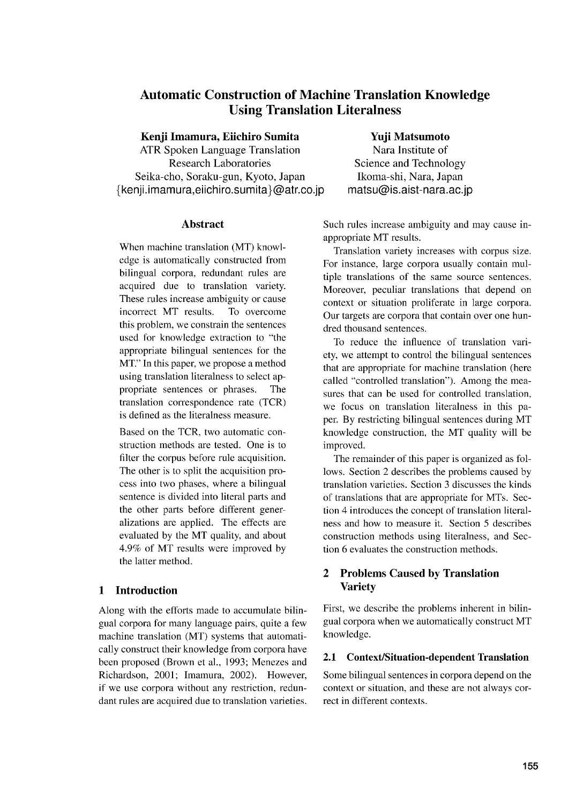# **Automatic Construction of Machine Translation Knowledge Using Translation Literalness**

## **Kenji Imamura, Eiichiro Sumita**

ATR Spoken Language Translation Research Laboratories Seika-cho, Soraku-gun, Kyoto, Japan  ${kenji.imamura, eiichiro.sumita} @atr.co.jp$ 

## **Abstract**

When machine translation (MT) knowledge is automatically constructed from bilingual corpora, redundant rules are acquired due to translation variety. These rules increase ambiguity or cause incorrect MT results. To overcome this problem, we constrain the sentences used for knowledge extraction to "the appropriate bilingual sentences for the MT." In this paper, we propose a method using translation literalness to select appropriate sentences or phrases. The translation correspondence rate (TCR) is defined as the literalness measure.

Based on the TCR, two automatic construction methods are tested. One is to filter the corpus before rule acquisition. The other is to split the acquisition process into two phases, where a bilingual sentence is divided into literal parts and the other parts before different generalizations are applied. The effects are evaluated by the MT quality, and about 4.9% of MT results were improved by the latter method.

## **1 Introduction**

Along with the efforts made to accumulate bilingual corpora for many language pairs, quite a few machine translation (MT) systems that automatically construct their knowledge from corpora have been proposed (Brown et al., 1993; Menezes and Richardson, 2001; Imamura, 2002). However, if we use corpora without any restriction, redundant rules are acquired due to translation varieties.

# **Yuji Matsumoto**

Nara Institute of Science and Technology Ikoma-shi, Nara, Japan matsu@is.aist-nara.ac.jp

Such rules increase ambiguity and may cause inappropriate MT results.

Translation variety increases with corpus size. For instance, large corpora usually contain multiple translations of the same source sentences. Moreover, peculiar translations that depend on context or situation proliferate in large corpora. Our targets are corpora that contain over one hundred thousand sentences.

To reduce the influence of translation variety, we attempt to control the bilingual sentences that are appropriate for machine translation (here called "controlled translation"). Among the measures that can be used for controlled translation, we focus on translation literalness in this paper. By restricting bilingual sentences during MT knowledge construction, the MT quality will be improved.

The remainder of this paper is organized as follows. Section 2 describes the problems caused by translation varieties. Section 3 discusses the kinds of translations that are appropriate for MTs. Section 4 introduces the concept of translation literalness and how to measure it. Section 5 describes construction methods using literalness, and Section 6 evaluates the construction methods.

## **2 Problems Caused by Translation Variety**

First, we describe the problems inherent in bilingual corpora when we automatically construct MT knowledge.

## **2.1 Context/Situation-dependent Translation**

Some bilingual sentences in corpora depend on the context or situation, and these are not always correct in different contexts.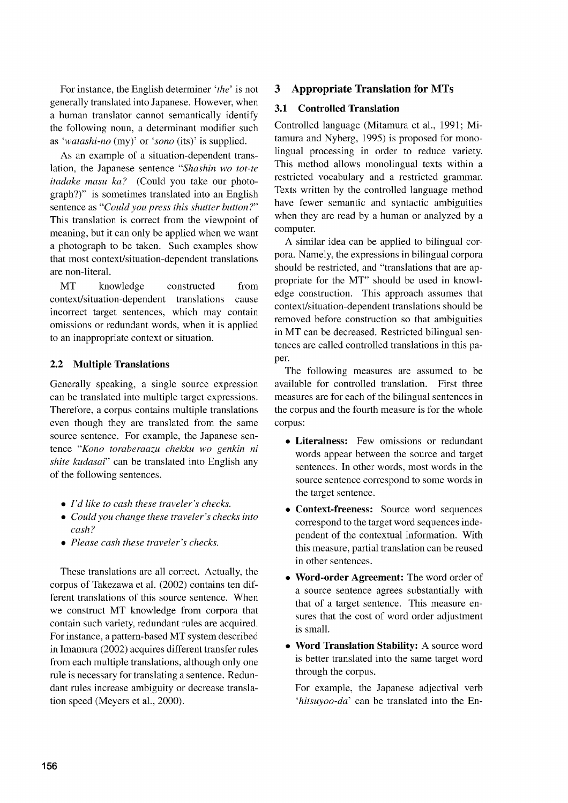For instance, the English determiner *'the'* is not generally translated into Japanese. However, when a human translator cannot semantically identify the following noun, a determinant modifier such as 'watashi-no (my)' or 'sono (its)' is supplied.

As an example of a situation-dependent translation, the Japanese sentence *"Shashin wo tot-te itadake masu ka?* (Could you take our photograph?)" is sometimes translated into an English sentence as *"Could you press this shutter button?"* This translation is correct from the viewpoint of meaning, but it can only be applied when we want a photograph to be taken. Such examples show that most context/situation-dependent translations are non-literal.

MT knowledge constructed from context/situation-dependent translations cause incorrect target sentences, which may contain omissions or redundant words, when it is applied to an inappropriate context or situation.

### **2.2 Multiple Translations**

Generally speaking, a single source expression can be translated into multiple target expressions. Therefore, a corpus contains multiple translations even though they are translated from the same source sentence. For example, the Japanese sentence *"Kono toraberaazu chekku wo genkin ni shite kudasai"* can be translated into English any of the following sentences.

- *• I'd like to cash these traveler's checks.*
- *• Could you change these traveler's checks into cash?*
- *• Please cash these traveler's checks.*

These translations are all correct. Actually, the corpus of Takezawa et al. (2002) contains ten different translations of this source sentence. When we construct MT knowledge from corpora that contain such variety, redundant rules are acquired. For instance, a pattern-based MT system described in Imamura (2002) acquires different transfer rules from each multiple translations, although only one rule is necessary for translating a sentence. Redundant rules increase ambiguity or decrease translation speed (Meyers et al., 2000).

## **3 Appropriate Translation for MTs**

#### **3.1 Controlled Translation**

Controlled language (Mitamura et al., 1991; Mitamura and Nyberg, 1995) is proposed for monolingual processing in order to reduce variety. This method allows monolingual texts within a restricted vocabulary and a restricted grammar. Texts written by the controlled language method have fewer semantic and syntactic ambiguities when they are read by a human or analyzed by a computer.

A similar idea can be applied to bilingual corpora. Namely, the expressions in bilingual corpora should be restricted, and "translations that are appropriate for the MT" should be used in knowledge construction. This approach assumes that context/situation-dependent translations should be removed before construction so that ambiguities in MT can be decreased. Restricted bilingual sentences are called controlled translations in this paper.

The following measures are assumed to be available for controlled translation. First three measures are for each of the bilingual sentences in the corpus and the fourth measure is for the whole corpus:

- **• Literalness:** Few omissions or redundant words appear between the source and target sentences. In other words, most words in the source sentence correspond to some words in the target sentence.
- **• Context-freeness:** Source word sequences correspond to the target word sequences independent of the contextual information. With this measure, partial translation can be reused in other sentences.
- **• Word-order Agreement:** The word order of a source sentence agrees substantially with that of a target sentence. This measure ensures that the cost of word order adjustment is small.
- **• Word Translation Stability:** A source word is better translated into the same target word through the corpus.

For example, the Japanese adjectival verb *'hitsuyoo-da'* can be translated into the En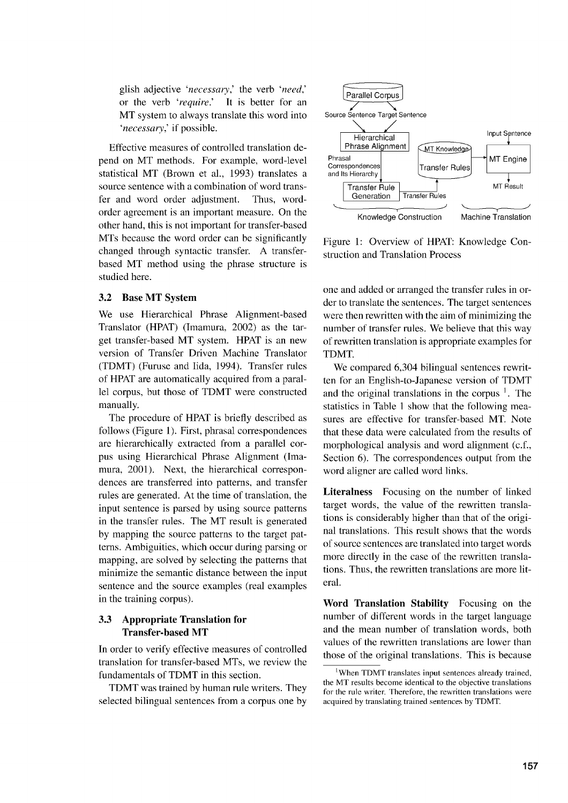glish adjective *'necessary,'* the verb *'need,'* or the verb *'require.'* It is better for an MT system to always translate this word into *'necessary,'* if possible.

Effective measures of controlled translation depend on MT methods. For example, word-level statistical MT (Brown et al., 1993) translates a source sentence with a combination of word transfer and word order adjustment. Thus, wordorder agreement is an important measure. On the other hand, this is not important for transfer-based MTs because the word order can be significantly changed through syntactic transfer. A transferbased MT method using the phrase structure is studied here.

#### 3.2 Base MT System

We use Hierarchical Phrase Alignment-based Translator (HPAT) (Imamura, 2002) as the target transfer-based MT system. HPAT is an new version of Transfer Driven Machine Translator (TDMT) (Furuse and Iida, 1994). Transfer rules of HPAT are automatically acquired from a parallel corpus, but those of TDMT were constructed manually.

The procedure of HPAT is briefly described as follows (Figure 1). First, phrasal correspondences are hierarchically extracted from a parallel corpus using Hierarchical Phrase Alignment (Imamura, 2001). Next, the hierarchical correspondences are transferred into patterns, and transfer rules are generated. At the time of translation, the input sentence is parsed by using source patterns in the transfer rules. The MT result is generated by mapping the source patterns to the target patterns. Ambiguities, which occur during parsing or mapping, are solved by selecting the patterns that minimize the semantic distance between the input sentence and the source examples (real examples in the training corpus).

### 3.3 Appropriate Translation for Transfer-based MT

In order to verify effective measures of controlled translation for transfer-based MTs, we review the fundamentals of TDMT in this section.

TDMT was trained by human rule writers. They selected bilingual sentences from a corpus one by



Figure 1: Overview of HPAT: Knowledge Construction and Translation Process

one and added or arranged the transfer rules in order to translate the sentences. The target sentences were then rewritten with the aim of minimizing the number of transfer rules. We believe that this way of rewritten translation is appropriate examples for TDMT.

We compared 6,304 bilingual sentences rewritten for an English-to-Japanese version of TDMT and the original translations in the corpus  $\frac{1}{1}$ . The statistics in Table 1 show that the following measures are effective for transfer-based MT. Note that these data were calculated from the results of morphological analysis and word alignment (c.f., Section 6). The correspondences output from the word aligner are called word links.

Literalness Focusing on the number of linked target words, the value of the rewritten translations is considerably higher than that of the original translations. This result shows that the words of source sentences are translated into target words more directly in the case of the rewritten translations. Thus, the rewritten translations are more literal.

Word Translation Stability Focusing on the number of different words in the target language and the mean number of translation words, both values of the rewritten translations are lower than those of the original translations. This is because

<sup>&</sup>lt;sup>1</sup>When TDMT translates input sentences already trained, the MT results become identical to the objective translations for the rule writer. Therefore, the rewritten translations were acquired by translating trained sentences by TDMT.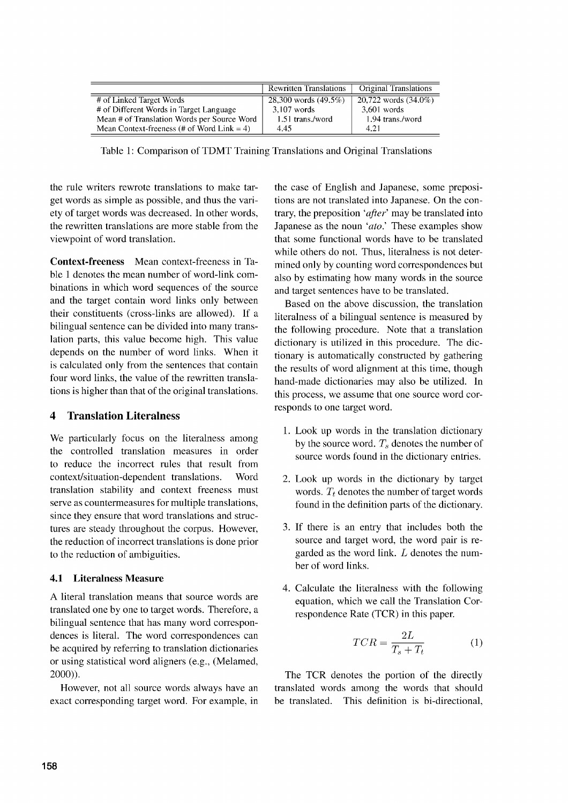|                                               | <b>Rewritten Translations</b> | Original Translations   |
|-----------------------------------------------|-------------------------------|-------------------------|
| # of Linked Target Words                      | 28,300 words $(49.5\%)$       | 20,722 words $(34.0\%)$ |
| # of Different Words in Target Language       | $3.107$ words                 | $3.601$ words           |
| Mean # of Translation Words per Source Word   | 1.51 trans./word              | 1.94 trans./word        |
| Mean Context-freeness (# of Word Link $= 4$ ) | 4.45                          | 4.21                    |

Table 1: Comparison of TDMT Training Translations and Original Translations

the rule writers rewrote translations to make target words as simple as possible, and thus the variety of target words was decreased. In other words, the rewritten translations are more stable from the viewpoint of word translation.

**Context-freeness** Mean context-freeness in Table 1 denotes the mean number of word-link combinations in which word sequences of the source and the target contain word links only between their constituents (cross-links are allowed). If a bilingual sentence can be divided into many translation parts, this value become high. This value depends on the number of word links. When it is calculated only from the sentences that contain four word links, the value of the rewritten translations is higher than that of the original translations.

## **4 Translation Literalness**

We particularly focus on the literalness among the controlled translation measures in order to reduce the incorrect rules that result from context/situation-dependent translations. Word translation stability and context freeness must serve as countermeasures for multiple translations, since they ensure that word translations and structures are steady throughout the corpus. However, the reduction of incorrect translations is done prior to the reduction of ambiguities.

## **4.1 Literalness Measure**

A literal translation means that source words are translated one by one to target words. Therefore, a bilingual sentence that has many word correspondences is literal. The word correspondences can be acquired by referring to translation dictionaries or using statistical word aligners (e.g., (Melamed, 2000)).

However, not all source words always have an exact corresponding target word. For example, in the case of English and Japanese, some prepositions are not translated into Japanese. On the contrary, the preposition *'after'* may be translated into Japanese as the noun *`ato.'* These examples show that some functional words have to be translated while others do not. Thus, literalness is not determined only by counting word correspondences but also by estimating how many words in the source and target sentences have to be translated.

Based on the above discussion, the translation literalness of a bilingual sentence is measured by the following procedure. Note that a translation dictionary is utilized in this procedure. The dictionary is automatically constructed by gathering the results of word alignment at this time, though hand-made dictionaries may also be utilized. In this process, we assume that one source word corresponds to one target word.

- 1. Look up words in the translation dictionary by the source word.  $T_s$  denotes the number of source words found in the dictionary entries.
- 2. Look up words in the dictionary by target words.  $T_t$  denotes the number of target words found in the definition parts of the dictionary.
- 3. If there is an entry that includes both the source and target word, the word pair is regarded as the word link *L* denotes the number of word links.
- 4. Calculate the literalness with the following equation, which we call the Translation Correspondence Rate (TCR) in this paper.

en we call the Translation Cor-  
Rate (TCR) in this paper.  

$$
TCR = \frac{2L}{T_s + T_t}
$$
 (1)

The TCR denotes the portion of the directly translated words among the words that should be translated. This definition is bi-directional,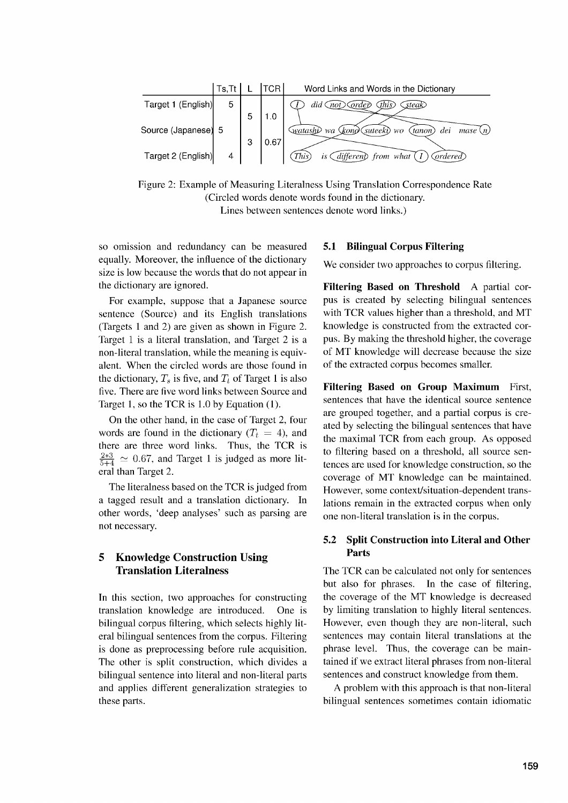

Figure 2: Example of Measuring Literalness Using Translation Correspondence Rate (Circled words denote words found in the dictionary. Lines between sentences denote word links.)

so omission and redundancy can be measured equally. Moreover, the influence of the dictionary size is low because the words that do not appear in the dictionary are ignored.

For example, suppose that a Japanese source sentence (Source) and its English translations (Targets 1 and 2) are given as shown in Figure 2. Target 1 is a literal translation, and Target 2 is a non-literal translation, while the meaning is equivalent. When the circled words are those found in the dictionary,  $T_s$  is five, and  $T_t$  of Target 1 is also five. There are five word links between Source and Target 1, so the TCR is 1.0 by Equation (1).

On the other hand, in the case of Target 2, four words are found in the dictionary  $(T_t = 4)$ , and there are three word links. Thus, the TCR is  $\frac{2*3}{5+4} \simeq 0.67$ , and Target 1 is judged as more literal than Target 2.

The literalness based on the TCR is judged from a tagged result and a translation dictionary. In other words, 'deep analyses' such as parsing are not necessary.

## **5 Knowledge Construction Using Translation Literalness**

In this section, two approaches for constructing translation knowledge are introduced. One is bilingual corpus filtering, which selects highly literal bilingual sentences from the corpus. Filtering is done as preprocessing before rule acquisition. The other is split construction, which divides a bilingual sentence into literal and non-literal parts and applies different generalization strategies to these parts.

#### **5.1 Bilingual Corpus Filtering**

We consider two approaches to corpus filtering.

**Filtering Based on Threshold** A partial corpus is created by selecting bilingual sentences with TCR values higher than a threshold, and MT knowledge is constructed from the extracted corpus. By making the threshold higher, the coverage of MT knowledge will decrease because the size of the extracted corpus becomes smaller.

**Filtering Based on Group Maximum** First, sentences that have the identical source sentence are grouped together, and a partial corpus is created by selecting the bilingual sentences that have the maximal TCR from each group. As opposed to filtering based on a threshold, all source sentences are used for knowledge construction, so the coverage of MT knowledge can be maintained. However, some context/situation-dependent translations remain in the extracted corpus when only one non-literal translation is in the corpus.

## **5.2 Split Construction into Literal and Other Parts**

The TCR can be calculated not only for sentences but also for phrases. In the case of filtering, the coverage of the MT knowledge is decreased by limiting translation to highly literal sentences. However, even though they are non-literal, such sentences may contain literal translations at the phrase level. Thus, the coverage can be maintained if we extract literal phrases from non-literal sentences and construct knowledge from them.

A problem with this approach is that non-literal bilingual sentences sometimes contain idiomatic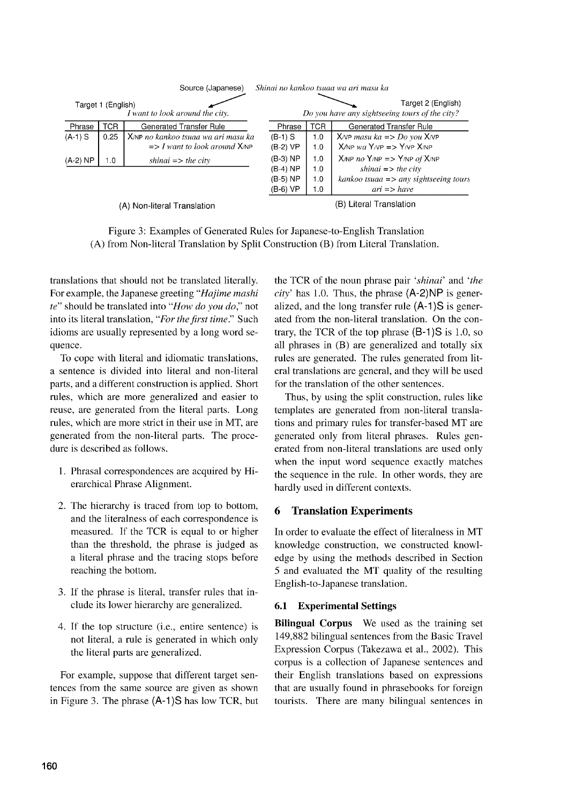|                             |                    | Source (Japanese)                                                                 |                                                  |                          | Shinai no kankoo tsuaa wa ari masu ka                                                                                                                 |
|-----------------------------|--------------------|-----------------------------------------------------------------------------------|--------------------------------------------------|--------------------------|-------------------------------------------------------------------------------------------------------------------------------------------------------|
|                             | Target 1 (English) | I want to look around the city.                                                   |                                                  |                          | Target 2 (English)<br>Do you have any sightseeing tours of the city?                                                                                  |
| Phrase                      | TCR                | <b>Generated Transfer Rule</b>                                                    | Phrase                                           | <b>TCR</b>               | <b>Generated Transfer Rule</b>                                                                                                                        |
| $(A-1)$ S                   | 0.25               | X/NP no kankoo tsuaa wa ari masu ka<br>$\Rightarrow$ I want to look around $X/NP$ | $(B-1)$ S<br>(B-2) VP                            | 1.0<br>1.0               | $X/NP$ masu ka => Do you $X/NP$<br>$X/NP$ wa $Y/NP = Y/NP X/NP$                                                                                       |
| $(A-2) NP$                  | 1.0                | shinai $\Rightarrow$ the city                                                     | $(B-3) NP$<br>$(B-4) NP$<br>(B-5) NP<br>(B-6) VP | 1.0<br>1.0<br>1.0<br>1.0 | $X/NP$ no $Y/NP$ => $Y/NP$ of $X/NP$<br>shinai $\Rightarrow$ the city<br>$kankoo$ tsuaa $\Rightarrow$ any sightseeing tours<br>$ari \Rightarrow have$ |
| (A) Non-literal Translation |                    |                                                                                   |                                                  | (B) Literal Translation  |                                                                                                                                                       |

Figure 3: Examples of Generated Rules for Japanese-to-English Translation (A) from Non-literal Translation by Split Construction (B) from Literal Translation.

translations that should not be translated literally. For example, the Japanese greeting *"Hajime mashi te"* should be translated into *"How do you do,"* not into its literal translation, *"For the first time."* Such idioms are usually represented by a long word sequence.

To cope with literal and idiomatic translations, a sentence is divided into literal and non-literal parts, and a different construction is applied. Short rules, which are more generalized and easier to reuse, are generated from the literal parts. Long rules, which are more strict in their use in MT, are generated from the non-literal parts. The procedure is described as follows.

- 1. Phrasal correspondences are acquired by Hierarchical Phrase Alignment.
- 2. The hierarchy is traced from top to bottom, and the literalness of each correspondence is measured. If the TCR is equal to or higher than the threshold, the phrase is judged as a literal phrase and the tracing stops before reaching the bottom.
- 3. If the phrase is literal, transfer rules that include its lower hierarchy are generalized.
- 4. If the top structure (i.e., entire sentence) is not literal, a rule is generated in which only the literal parts are generalized.

For example, suppose that different target sentences from the same source are given as shown in Figure 3. The phrase (A-1)S has low TCR, but

the TCR of the noun phrase pair *shinai'* and *'the*  $city'$  has 1.0. Thus, the phrase  $(A-2)NP$  is generalized, and the long transfer rule  $(A-1)S$  is generated from the non-literal translation. On the contrary, the TCR of the top phrase  $(B-1)S$  is 1.0, so all phrases in (B) are generalized and totally six rules are generated. The rules generated from literal translations are general, and they will be used for the translation of the other sentences.

Thus, by using the split construction, rules like templates are generated from non-literal translations and primary rules for transfer-based MT are generated only from literal phrases. Rules generated from non-literal translations are used only when the input word sequence exactly matches the sequence in the rule. In other words, they are hardly used in different contexts.

## 6 Translation Experiments

In order to evaluate the effect of literalness in MT knowledge construction, we constructed knowledge by using the methods described in Section 5 and evaluated the MT quality of the resulting English-to-Japanese translation.

## 6.1 Experimental Settings

Bilingual Corpus We used as the training set 149,882 bilingual sentences from the Basic Travel Expression Corpus (Takezawa et al., 2002). This corpus is a collection of Japanese sentences and their English translations based on expressions that are usually found in phrasebooks for foreign tourists. There are many bilingual sentences in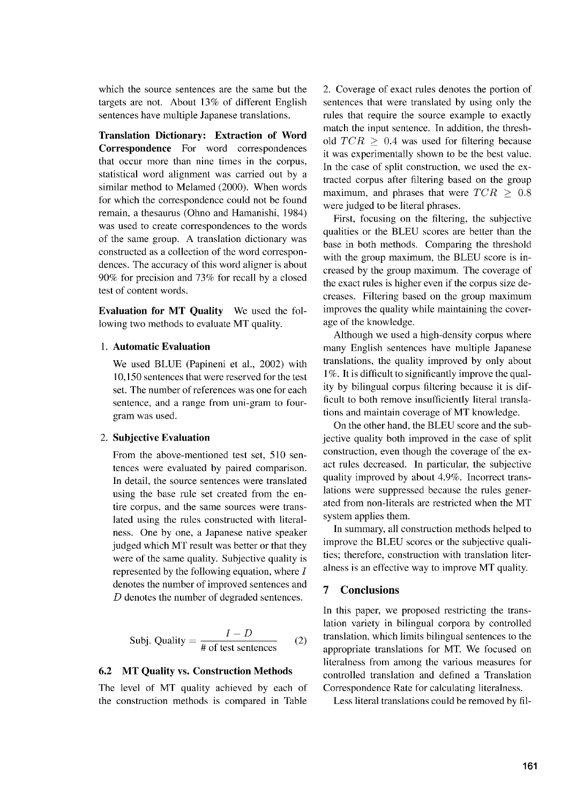which the source sentences are the same but the targets are not. About 13% of different English sentences have multiple Japanese translations.

Translation Dictionary: Extraction of Word Correspondence For word correspondences that occur more than nine times in the corpus, statistical word alignment was carried out by a similar method to Melamed (2000). When words for which the correspondence could not be found remain, a thesaurus (Ohno and Hamanishi, 1984) was used to create correspondences to the words of the same group. A translation dictionary was constructed as a collection of the word correspondences. The accuracy of this word aligner is about 90% for precision and 73% for recall by a closed test of content words.

Evaluation for MT Quality We used the following two methods to evaluate MT quality.

#### 1. Automatic Evaluation

We used BLUE (Papineni et al., 2002) with 10,150 sentences that were reserved for the test set. The number of references was one for each sentence, and a range from uni-gram to fourgram was used.

#### 2. Subjective Evaluation

From the above-mentioned test set, 510 sentences were evaluated by paired comparison. In detail, the source sentences were translated using the base rule set created from the entire corpus, and the same sources were translated using the rules constructed with literalness. One by one, a Japanese native speaker judged which MT result was better or that they were of the same quality. Subjective quality is represented by the following equation, where *I* denotes the number of improved sentences and *D* denotes the number of degraded sentences.

$$
Subj. Quality = \frac{I - D}{\text{\# of test sentences}} \qquad (2)
$$

#### 6.2 MT Quality vs. Construction Methods

The level of MT quality achieved by each of the construction methods is compared in Table 2. Coverage of exact rules denotes the portion of sentences that were translated by using only the rules that require the source example to exactly match the input sentence. In addition, the threshold  $TCR \geq 0.4$  was used for filtering because it was experimentally shown to be the best value. In the case of split construction, we used the extracted corpus after filtering based on the group maximum, and phrases that were *TCR >* 0.8 were judged to be literal phrases.

First, focusing on the filtering, the subjective qualities or the BLEU scores are better than the base in both methods. Comparing the threshold with the group maximum, the BLEU score is increased by the group maximum. The coverage of the exact rules is higher even if the corpus size decreases. Filtering based on the group maximum improves the quality while maintaining the coverage of the knowledge.

Although we used a high-density corpus where many English sentences have multiple Japanese translations, the quality improved by only about 1%. It is difficult to significantly improve the quality by bilingual corpus filtering because it is difficult to both remove insufficiently literal translations and maintain coverage of MT knowledge.

On the other hand, the BLEU score and the subjective quality both improved in the case of split construction, even though the coverage of the exact rules decreased. In particular, the subjective quality improved by about 4.9%. Incorrect translations were suppressed because the rules generated from non-literals are restricted when the MT system applies them.

In summary, all construction methods helped to improve the BLEU scores or the subjective qualities; therefore, construction with translation literalness is an effective way to improve MT quality.

### 7 Conclusions

In this paper, we proposed restricting the translation variety in bilingual corpora by controlled translation, which limits bilingual sentences to the appropriate translations for MT. We focused on literalness from among the various measures for controlled translation and defined a Translation Correspondence Rate for calculating literalness.

Less literal translations could be removed by fil-